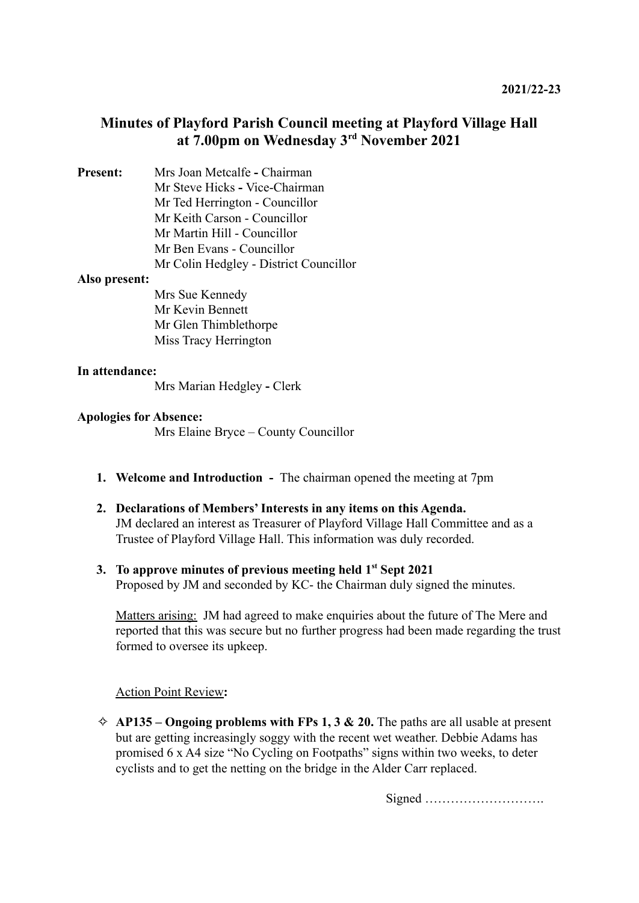# **Minutes of Playford Parish Council meeting at Playford Village Hall at 7.00pm on Wednesday 3 rd November 2021**

**Present:** Mrs Joan Metcalfe **-** Chairman Mr Steve Hicks **-** Vice-Chairman Mr Ted Herrington - Councillor Mr Keith Carson - Councillor Mr Martin Hill - Councillor Mr Ben Evans - Councillor Mr Colin Hedgley - District Councillor

### **Also present:**

Mrs Sue Kennedy Mr Kevin Bennett Mr Glen Thimblethorpe Miss Tracy Herrington

#### **In attendance:**

Mrs Marian Hedgley **-** Clerk

#### **Apologies for Absence:**

Mrs Elaine Bryce – County Councillor

**1. Welcome and Introduction -** The chairman opened the meeting at 7pm

### **2. Declarations of Members' Interests in any items on this Agenda.** JM declared an interest as Treasurer of Playford Village Hall Committee and as a Trustee of Playford Village Hall. This information was duly recorded.

**3. To approve minutes of previous meeting held 1st Sept 2021** Proposed by JM and seconded by KC- the Chairman duly signed the minutes.

Matters arising: JM had agreed to make enquiries about the future of The Mere and reported that this was secure but no further progress had been made regarding the trust formed to oversee its upkeep.

#### Action Point Review**:**

 $\Diamond$  **AP135 – Ongoing problems with FPs 1, 3 & 20.** The paths are all usable at present but are getting increasingly soggy with the recent wet weather. Debbie Adams has promised 6 x A4 size "No Cycling on Footpaths" signs within two weeks, to deter cyclists and to get the netting on the bridge in the Alder Carr replaced.

Signed ……………………….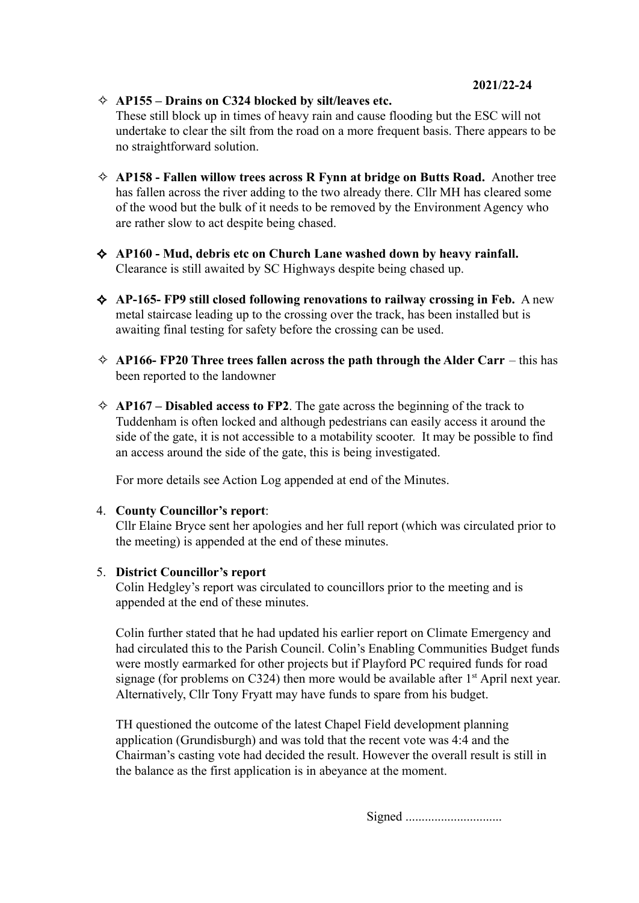**2021/22-24**

✧ **AP155 – Drains on C324 blocked by silt/leaves etc.**

These still block up in times of heavy rain and cause flooding but the ESC will not undertake to clear the silt from the road on a more frequent basis. There appears to be no straightforward solution.

- ✧ **AP158 Fallen willow trees across R Fynn at bridge on Butts Road.** Another tree has fallen across the river adding to the two already there. Cllr MH has cleared some of the wood but the bulk of it needs to be removed by the Environment Agency who are rather slow to act despite being chased.
- ✧ **AP160 Mud, debris etc on Church Lane washed down by heavy rainfall.** Clearance is still awaited by SC Highways despite being chased up.
- ✧ **AP-165- FP9 still closed following renovations to railway crossing in Feb.** A new metal staircase leading up to the crossing over the track, has been installed but is awaiting final testing for safety before the crossing can be used.
- ✧ **AP166- FP20 Three trees fallen across the path through the Alder Carr** this has been reported to the landowner
- $\triangle$  **AP167 Disabled access to FP2**. The gate across the beginning of the track to Tuddenham is often locked and although pedestrians can easily access it around the side of the gate, it is not accessible to a motability scooter. It may be possible to find an access around the side of the gate, this is being investigated.

For more details see Action Log appended at end of the Minutes.

### 4. **County Councillor's report**:

Cllr Elaine Bryce sent her apologies and her full report (which was circulated prior to the meeting) is appended at the end of these minutes.

### 5. **District Councillor's report**

Colin Hedgley's report was circulated to councillors prior to the meeting and is appended at the end of these minutes.

Colin further stated that he had updated his earlier report on Climate Emergency and had circulated this to the Parish Council. Colin's Enabling Communities Budget funds were mostly earmarked for other projects but if Playford PC required funds for road signage (for problems on C324) then more would be available after  $1<sup>st</sup>$  April next year. Alternatively, Cllr Tony Fryatt may have funds to spare from his budget.

TH questioned the outcome of the latest Chapel Field development planning application (Grundisburgh) and was told that the recent vote was 4:4 and the Chairman's casting vote had decided the result. However the overall result is still in the balance as the first application is in abeyance at the moment.

Signed ..............................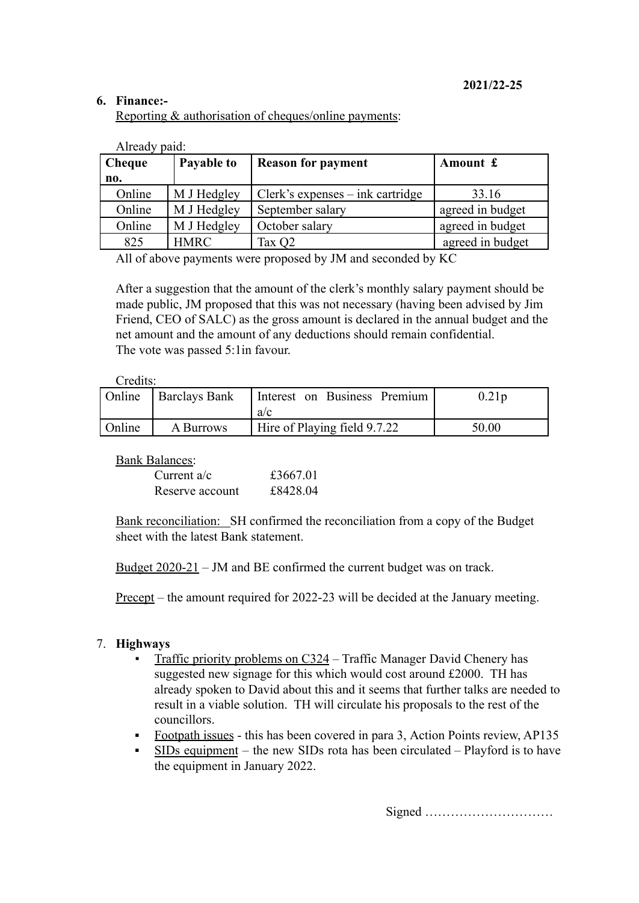### **6. Finance:-**

Reporting & authorisation of cheques/online payments:

| Cheque | Payable to  | <b>Reason for payment</b>        | Amount £         |
|--------|-------------|----------------------------------|------------------|
| no.    |             |                                  |                  |
| Online | M J Hedgley | Clerk's expenses – ink cartridge | 33.16            |
| Online | M J Hedgley | September salary                 | agreed in budget |
| Online | M J Hedgley | October salary                   | agreed in budget |
| 825    | <b>HMRC</b> | Tax Q2                           | agreed in budget |

Already paid:

All of above payments were proposed by JM and seconded by KC

After a suggestion that the amount of the clerk's monthly salary payment should be made public, JM proposed that this was not necessary (having been advised by Jim Friend, CEO of SALC) as the gross amount is declared in the annual budget and the net amount and the amount of any deductions should remain confidential. The vote was passed 5:1in favour.

#### Credits:

|        | Online Barclays Bank | Interest on Business Premium<br>a/c | 0.21p |
|--------|----------------------|-------------------------------------|-------|
| Online | A Burrows            | Hire of Playing field 9.7.22        | 50.00 |

Bank Balances:

| Current $a/c$   | £3667.01 |
|-----------------|----------|
| Reserve account | £8428.04 |

Bank reconciliation: SH confirmed the reconciliation from a copy of the Budget sheet with the latest Bank statement.

Budget 2020-21 – JM and BE confirmed the current budget was on track.

Precept – the amount required for 2022-23 will be decided at the January meeting.

### 7. **Highways**

- Traffic priority problems on C324 Traffic Manager David Chenery has suggested new signage for this which would cost around £2000. TH has already spoken to David about this and it seems that further talks are needed to result in a viable solution. TH will circulate his proposals to the rest of the councillors.
- Footpath issues this has been covered in para 3, Action Points review, AP135
- $\overline{SIDs}$  equipment the new SIDs rota has been circulated Playford is to have the equipment in January 2022.

Signed …………………………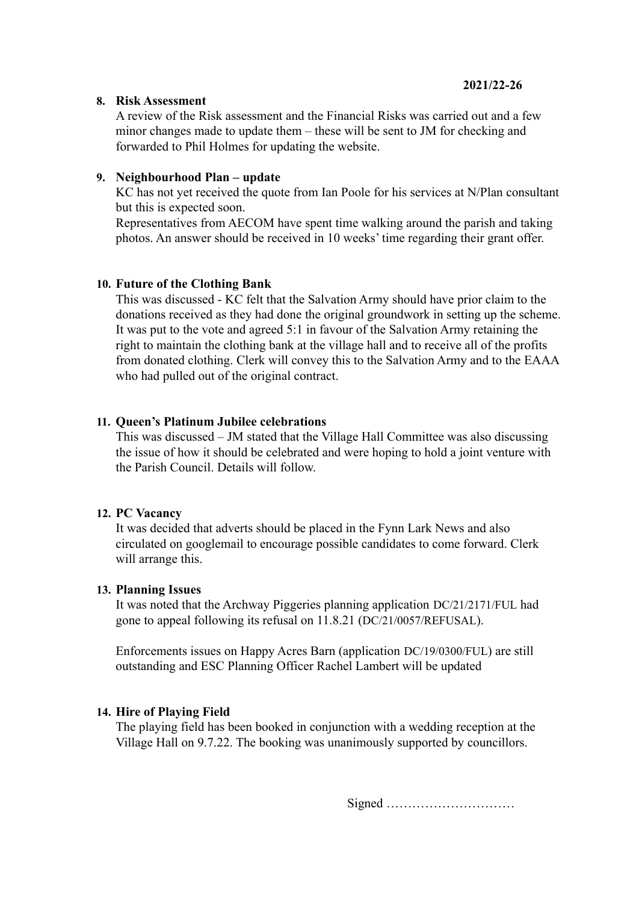### **8. Risk Assessment**

A review of the Risk assessment and the Financial Risks was carried out and a few minor changes made to update them – these will be sent to JM for checking and forwarded to Phil Holmes for updating the website.

### **9. Neighbourhood Plan – update**

KC has not yet received the quote from Ian Poole for his services at N/Plan consultant but this is expected soon.

Representatives from AECOM have spent time walking around the parish and taking photos. An answer should be received in 10 weeks' time regarding their grant offer.

### **10. Future of the Clothing Bank**

This was discussed - KC felt that the Salvation Army should have prior claim to the donations received as they had done the original groundwork in setting up the scheme. It was put to the vote and agreed 5:1 in favour of the Salvation Army retaining the right to maintain the clothing bank at the village hall and to receive all of the profits from donated clothing. Clerk will convey this to the Salvation Army and to the EAAA who had pulled out of the original contract.

### **11. Queen's Platinum Jubilee celebrations**

This was discussed – JM stated that the Village Hall Committee was also discussing the issue of how it should be celebrated and were hoping to hold a joint venture with the Parish Council. Details will follow.

### **12. PC Vacancy**

It was decided that adverts should be placed in the Fynn Lark News and also circulated on googlemail to encourage possible candidates to come forward. Clerk will arrange this.

### **13. Planning Issues**

It was noted that the Archway Piggeries planning application DC/21/2171/FUL had gone to appeal following its refusal on 11.8.21 (DC/21/0057/REFUSAL).

Enforcements issues on Happy Acres Barn (application DC/19/0300/FUL) are still outstanding and ESC Planning Officer Rachel Lambert will be updated

### **14. Hire of Playing Field**

The playing field has been booked in conjunction with a wedding reception at the Village Hall on 9.7.22. The booking was unanimously supported by councillors.

Signed …………………………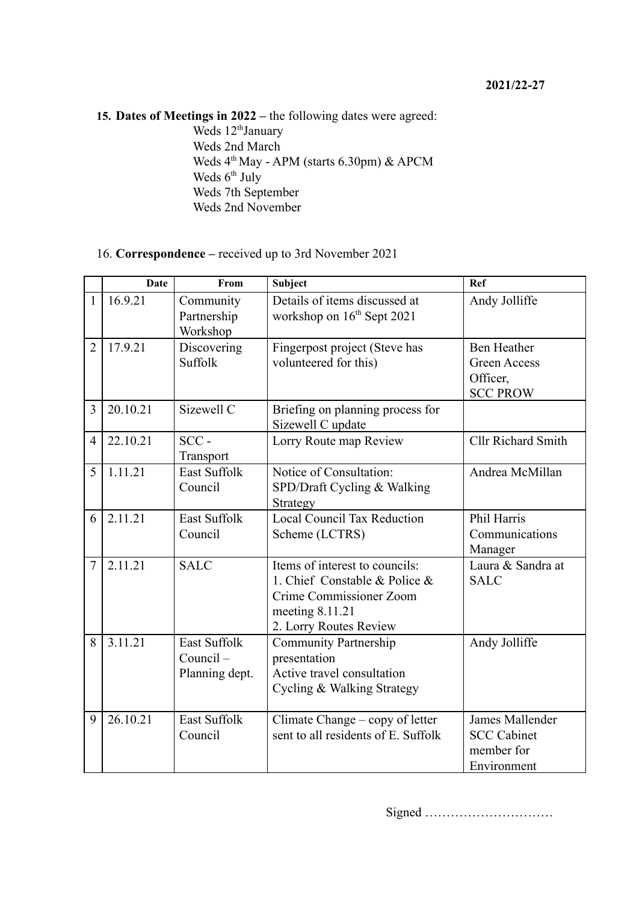**15. Dates of Meetings in 2022 –** the following dates were agreed: Weds 12<sup>th</sup>January Weds 2nd March Weds  $4<sup>th</sup>$  May - APM (starts 6.30pm) & APCM Weds 6<sup>th</sup> July Weds 7th September

## 16. **Correspondence –** received up to 3rd November 2021

Weds 2nd November

|                | <b>Date</b> | From                                                 | <b>Subject</b>                                                                                                                          | Ref                                                                      |
|----------------|-------------|------------------------------------------------------|-----------------------------------------------------------------------------------------------------------------------------------------|--------------------------------------------------------------------------|
| $\mathbf{1}$   | 16.9.21     | Community<br>Partnership<br>Workshop                 | Details of items discussed at<br>workshop on 16 <sup>th</sup> Sept 2021                                                                 | Andy Jolliffe                                                            |
| $\overline{2}$ | 17.9.21     | Discovering<br><b>Suffolk</b>                        | Fingerpost project (Steve has<br>volunteered for this)                                                                                  | <b>Ben Heather</b><br><b>Green Access</b><br>Officer,<br><b>SCC PROW</b> |
| 3              | 20.10.21    | Sizewell C                                           | Briefing on planning process for<br>Sizewell C update                                                                                   |                                                                          |
| $\overline{4}$ | 22.10.21    | $SCC -$<br>Transport                                 | Lorry Route map Review                                                                                                                  | <b>Cllr Richard Smith</b>                                                |
| 5              | 1.11.21     | <b>East Suffolk</b><br>Council                       | Notice of Consultation:<br>SPD/Draft Cycling & Walking<br>Strategy                                                                      | Andrea McMillan                                                          |
| 6              | 2.11.21     | <b>East Suffolk</b><br>Council                       | Local Council Tax Reduction<br>Scheme (LCTRS)                                                                                           | Phil Harris<br>Communications<br>Manager                                 |
| $\overline{7}$ | 2.11.21     | <b>SALC</b>                                          | Items of interest to councils:<br>1. Chief Constable & Police &<br>Crime Commissioner Zoom<br>meeting 8.11.21<br>2. Lorry Routes Review | Laura & Sandra at<br><b>SALC</b>                                         |
| 8              | 3.11.21     | <b>East Suffolk</b><br>$Countel -$<br>Planning dept. | <b>Community Partnership</b><br>presentation<br>Active travel consultation<br>Cycling & Walking Strategy                                | Andy Jolliffe                                                            |
| 9              | 26.10.21    | <b>East Suffolk</b><br>Council                       | Climate Change – copy of letter<br>sent to all residents of E. Suffolk                                                                  | James Mallender<br><b>SCC Cabinet</b><br>member for<br>Environment       |

Signed …………………………